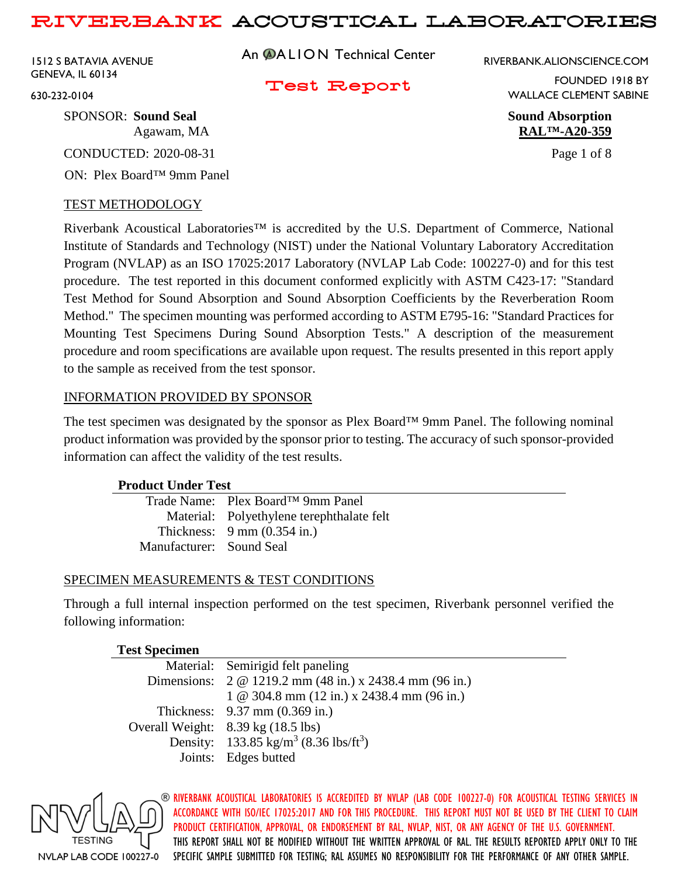1512 S BATAVIA AVENUE GENEVA, IL 60134

An **@ALION** Technical Center

RIVERBANK.ALIONSCIENCE.COM

Test Report

FOUNDED 1918 BY WALLACE CLEMENT SABINE

Agawam, MA **RAL™-A20-359**

630-232-0104

SPONSOR: **Sound Seal Sound Absorption**

CONDUCTED: 2020-08-31 Page 1 of 8

ON: Plex Board™ 9mm Panel

## TEST METHODOLOGY

Riverbank Acoustical Laboratories™ is accredited by the U.S. Department of Commerce, National Institute of Standards and Technology (NIST) under the National Voluntary Laboratory Accreditation Program (NVLAP) as an ISO 17025:2017 Laboratory (NVLAP Lab Code: 100227-0) and for this test procedure. The test reported in this document conformed explicitly with ASTM C423-17: "Standard Test Method for Sound Absorption and Sound Absorption Coefficients by the Reverberation Room Method." The specimen mounting was performed according to ASTM E795-16: "Standard Practices for Mounting Test Specimens During Sound Absorption Tests." A description of the measurement procedure and room specifications are available upon request. The results presented in this report apply to the sample as received from the test sponsor.

## INFORMATION PROVIDED BY SPONSOR

The test specimen was designated by the sponsor as Plex Board™ 9mm Panel. The following nominal product information was provided by the sponsor prior to testing. The accuracy of such sponsor-provided information can affect the validity of the test results.

## **Product Under Test**

| Trade Name: Plex Board™ 9mm Panel         |
|-------------------------------------------|
| Material: Polyethylene terephthalate felt |
| Thickness: $9 \text{ mm}$ (0.354 in.)     |
| Manufacturer: Sound Seal                  |
|                                           |

## SPECIMEN MEASUREMENTS & TEST CONDITIONS

Through a full internal inspection performed on the test specimen, Riverbank personnel verified the following information:

## **Test Specimen**

| Material: Semirigid felt paneling                             |
|---------------------------------------------------------------|
| Dimensions: 2 @ 1219.2 mm (48 in.) x 2438.4 mm (96 in.)       |
| $1 \& 304.8 \text{ mm}$ (12 in.) x 2438.4 mm (96 in.)         |
| Thickness: $9.37 \text{ mm} (0.369 \text{ in.})$              |
| Overall Weight: 8.39 kg (18.5 lbs)                            |
| Density: 133.85 kg/m <sup>3</sup> (8.36 lbs/ft <sup>3</sup> ) |
| Joints: Edges butted                                          |
|                                                               |

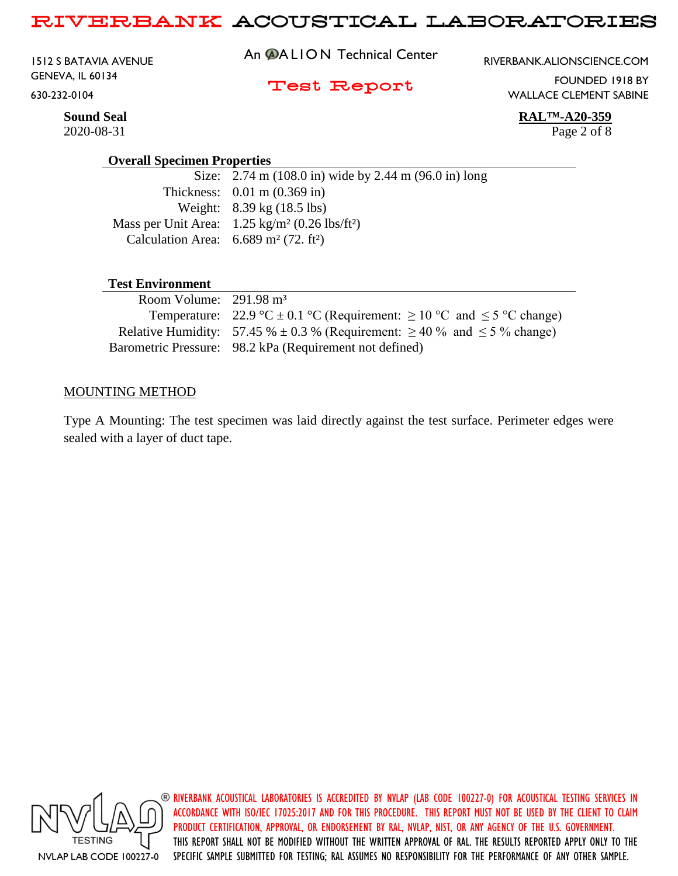1512 S BATAVIA AVENUE GENEVA, IL 60134 630-232-0104

An **@ALION** Technical Center

RIVERBANK.ALIONSCIENCE.COM

### Test Report

WALLACE CLEMENT SABINE

FOUNDED 1918 BY

**Sound Seal RAL™-A20-359**

2020-08-31 Page 2 of 8

#### **Overall Specimen Properties**

Size: 2.74 m (108.0 in) wide by 2.44 m (96.0 in) long Thickness: 0.01 m (0.369 in) Weight: 8.39 kg (18.5 lbs) Mass per Unit Area: 1.25 kg/m² (0.26 lbs/ft²) Calculation Area:  $6.689 \text{ m}^2$  (72. ft<sup>2</sup>)

## **Test Environment**

| Room Volume: $291.98 \text{ m}^3$ |                                                                                         |
|-----------------------------------|-----------------------------------------------------------------------------------------|
|                                   | Temperature: 22.9 °C $\pm$ 0.1 °C (Requirement: $\geq$ 10 °C and $\leq$ 5 °C change)    |
|                                   | Relative Humidity: 57.45 % $\pm$ 0.3 % (Requirement: $\geq$ 40 % and $\leq$ 5 % change) |
|                                   | Barometric Pressure: 98.2 kPa (Requirement not defined)                                 |

#### MOUNTING METHOD

Type A Mounting: The test specimen was laid directly against the test surface. Perimeter edges were sealed with a layer of duct tape.

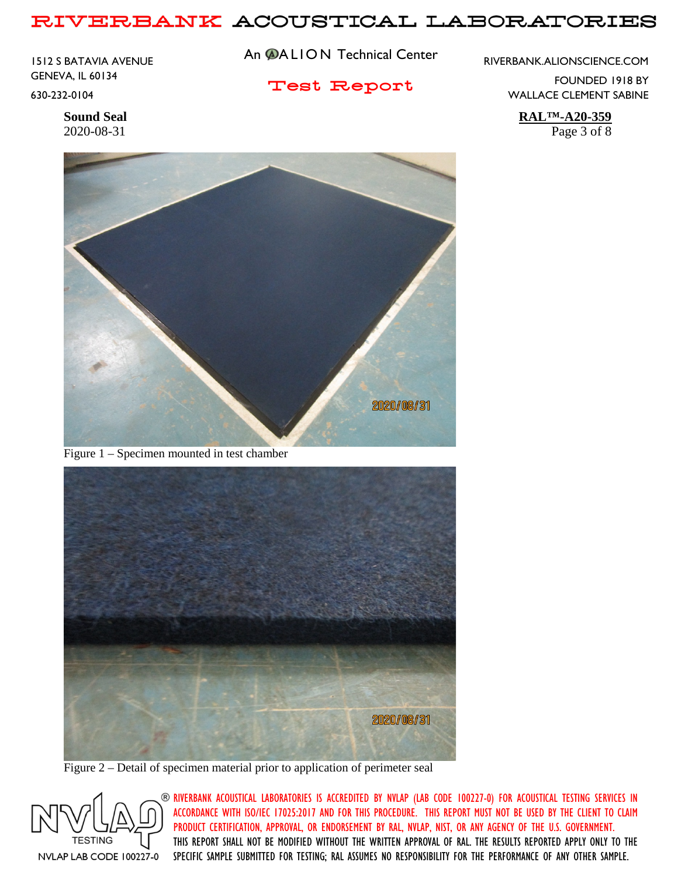1512 S BATAVIA AVENUE GENEVA, IL 60134 630-232-0104

An **@ALION** Technical Center

Test Report

RIVERBANK.ALIONSCIENCE.COM

FOUNDED 1918 BY WALLACE CLEMENT SABINE

**Sound Seal RAL™-A20-359** 2020-08-31 Page 3 of 8



Figure 1 – Specimen mounted in test chamber



Figure 2 – Detail of specimen material prior to application of perimeter seal

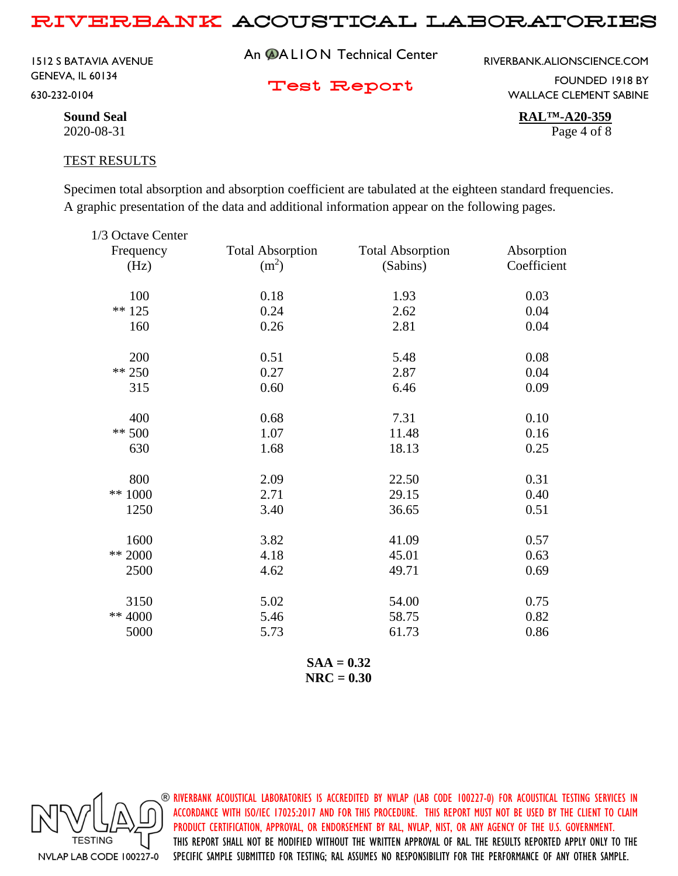1512 S BATAVIA AVENUE GENEVA, IL 60134 630-232-0104

An **@ALION** Technical Center

RIVERBANK.ALIONSCIENCE.COM

Test Report

FOUNDED 1918 BY WALLACE CLEMENT SABINE

**Sound Seal RAL™-A20-359** 2020-08-31 Page 4 of 8

#### TEST RESULTS

Specimen total absorption and absorption coefficient are tabulated at the eighteen standard frequencies. A graphic presentation of the data and additional information appear on the following pages.

| 1/3 Octave Center |                         |                         |             |
|-------------------|-------------------------|-------------------------|-------------|
| Frequency         | <b>Total Absorption</b> | <b>Total Absorption</b> | Absorption  |
| (Hz)              | (m <sup>2</sup> )       | (Sabins)                | Coefficient |
| 100               | 0.18                    | 1.93                    | 0.03        |
| $** 125$          | 0.24                    | 2.62                    | 0.04        |
| 160               | 0.26                    | 2.81                    | 0.04        |
| 200               | 0.51                    | 5.48                    | 0.08        |
| $** 250$          | 0.27                    | 2.87                    | 0.04        |
| 315               | 0.60                    | 6.46                    | 0.09        |
| 400               | 0.68                    | 7.31                    | 0.10        |
| $** 500$          | 1.07                    | 11.48                   | 0.16        |
| 630               | 1.68                    | 18.13                   | 0.25        |
| 800               | 2.09                    | 22.50                   | 0.31        |
| ** 1000           | 2.71                    | 29.15                   | 0.40        |
| 1250              | 3.40                    | 36.65                   | 0.51        |
| 1600              | 3.82                    | 41.09                   | 0.57        |
| ** 2000           | 4.18                    | 45.01                   | 0.63        |
| 2500              | 4.62                    | 49.71                   | 0.69        |
| 3150              | 5.02                    | 54.00                   | 0.75        |
| ** 4000           | 5.46                    | 58.75                   | 0.82        |
| 5000              | 5.73                    | 61.73                   | 0.86        |
|                   |                         |                         |             |

**SAA = 0.32 NRC = 0.30**

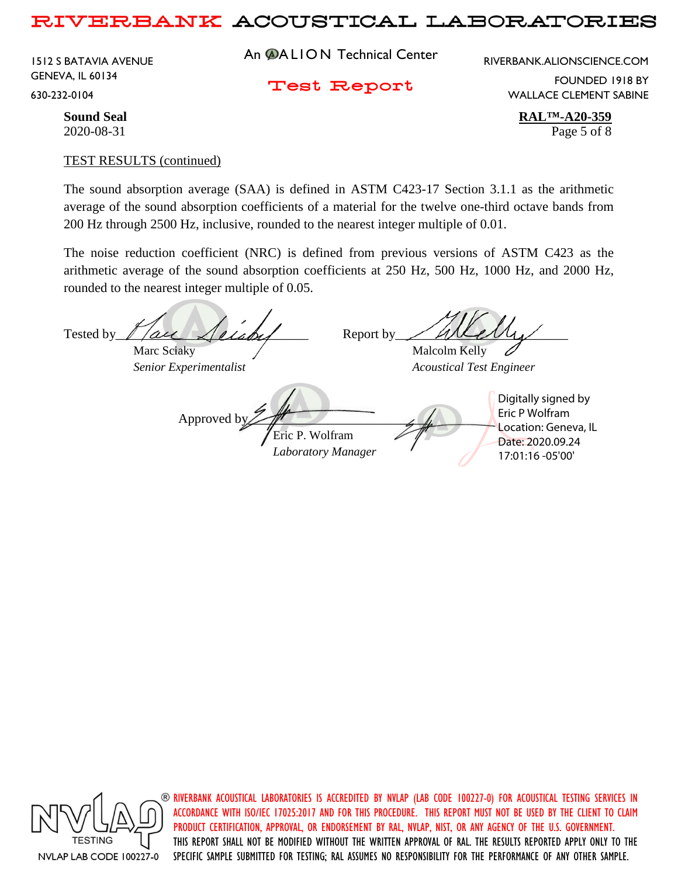1512 S BATAVIA AVENUE GENEVA, IL 60134 630-232-0104

An **@ALION** Technical Center

RIVERBANK.ALIONSCIENCE.COM

Test Report

FOUNDED 1918 BY WALLACE CLEMENT SABINE

**Sound Seal RAL™-A20-359** 2020-08-31 Page 5 of 8

#### TEST RESULTS (continued)

The sound absorption average (SAA) is defined in ASTM C423-17 Section 3.1.1 as the arithmetic average of the sound absorption coefficients of a material for the twelve one-third octave bands from 200 Hz through 2500 Hz, inclusive, rounded to the nearest integer multiple of 0.01.

The noise reduction coefficient (NRC) is defined from previous versions of ASTM C423 as the arithmetic average of the sound absorption coefficients at 250 Hz, 500 Hz, 1000 Hz, and 2000 Hz, rounded to the nearest integer multiple of 0.05.

Tested by  $\ell$  /acc  $\lambda$  elabel Report by / allemy Marc Sciaky  $\sqrt{M}$  Malcolm Kelly *Senior Experimentalist Acoustical Test Engineer* Approved b Eric P. Wolfram *Laboratory Manager* Digitally signed by Eric P Wolfram Location: Geneva, IL Date: 2020.09.24 17:01:16 -05'00'



 $\circledast$  riverbank acoustical laboratories is accredited by nylap (lab code 100227-0) for acoustical testing services in ACCORDANCE WITH ISO/IEC 17025:2017 AND FOR THIS PROCEDURE. THIS REPORT MUST NOT BE USED BY THE CLIENT TO CLAIM PRODUCT CERTIFICATION, APPROVAL, OR ENDORSEMENT BY RAL, NVLAP, NIST, OR ANY AGENCY OF THE U.S. GOVERNMENT. THIS REPORT SHALL NOT BE MODIFIED WITHOUT THE WRITTEN APPROVAL OF RAL. THE RESULTS REPORTED APPLY ONLY TO THE SPECIFIC SAMPLE SUBMITTED FOR TESTING; RAL ASSUMES NO RESPONSIBILITY FOR THE PERFORMANCE OF ANY OTHER SAMPLE.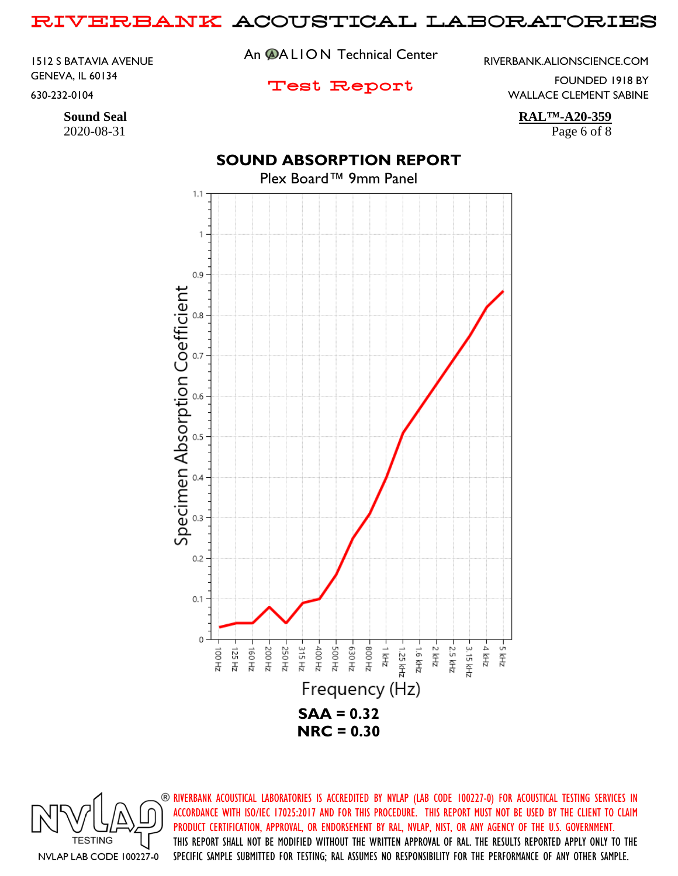1512 S BATAVIA AVENUE GENEVA, IL 60134 630-232-0104

# **Sound Seal RAL™-A20-359**

2020-08-31 Page 6 of 8

An **@ALION** Technical Center

RIVERBANK.ALIONSCIENCE.COM

## Test Report

FOUNDED 1918 BY

WALLACE CLEMENT SABINE

## **SOUND ABSORPTION REPORT**



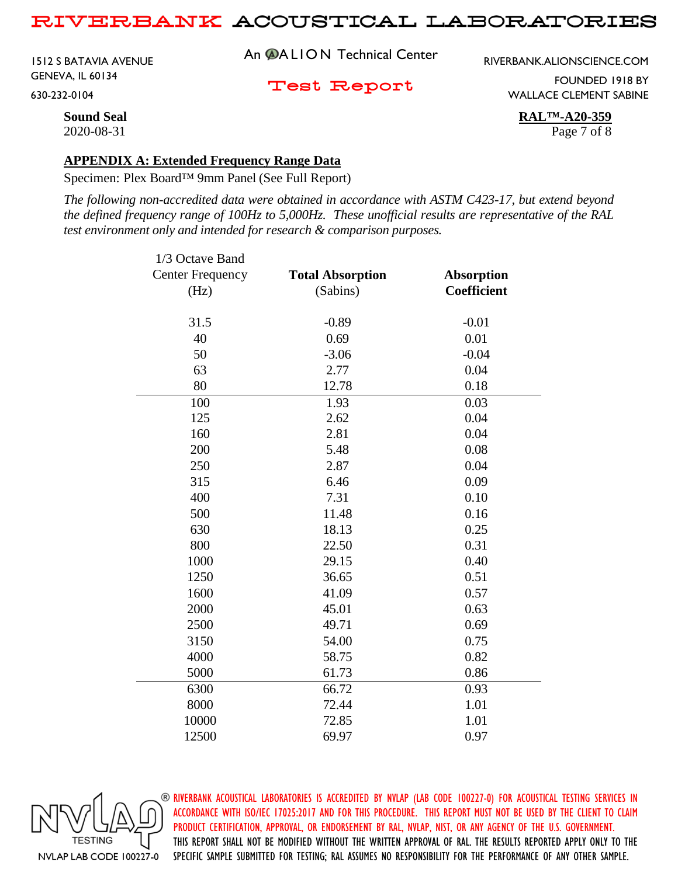1512 S BATAVIA AVENUE GENEVA, IL 60134 630-232-0104

An **@ALION** Technical Center

RIVERBANK.ALIONSCIENCE.COM

Test Report

FOUNDED 1918 BY WALLACE CLEMENT SABINE

**Sound Seal RAL™-A20-359** 2020-08-31 Page 7 of 8

#### **APPENDIX A: Extended Frequency Range Data**

Specimen: Plex Board™ 9mm Panel (See Full Report)

*The following non-accredited data were obtained in accordance with ASTM C423-17, but extend beyond the defined frequency range of 100Hz to 5,000Hz. These unofficial results are representative of the RAL test environment only and intended for research & comparison purposes.* 

| <b>Total Absorption</b> | <b>Absorption</b>                                                                                                              |
|-------------------------|--------------------------------------------------------------------------------------------------------------------------------|
| (Sabins)                | Coefficient                                                                                                                    |
|                         | $-0.01$                                                                                                                        |
|                         | 0.01                                                                                                                           |
|                         | $-0.04$                                                                                                                        |
|                         | 0.04                                                                                                                           |
|                         | 0.18                                                                                                                           |
|                         |                                                                                                                                |
|                         | 0.03                                                                                                                           |
|                         | 0.04                                                                                                                           |
|                         | 0.04                                                                                                                           |
|                         | 0.08                                                                                                                           |
|                         | 0.04                                                                                                                           |
|                         | 0.09                                                                                                                           |
|                         | 0.10                                                                                                                           |
|                         | 0.16                                                                                                                           |
|                         | 0.25                                                                                                                           |
|                         | 0.31                                                                                                                           |
| 29.15                   | 0.40                                                                                                                           |
| 36.65                   | 0.51                                                                                                                           |
| 41.09                   | 0.57                                                                                                                           |
| 45.01                   | 0.63                                                                                                                           |
| 49.71                   | 0.69                                                                                                                           |
| 54.00                   | 0.75                                                                                                                           |
| 58.75                   | 0.82                                                                                                                           |
| 61.73                   | 0.86                                                                                                                           |
| 66.72                   | 0.93                                                                                                                           |
| 72.44                   | 1.01                                                                                                                           |
| 72.85                   | 1.01                                                                                                                           |
| 69.97                   | 0.97                                                                                                                           |
|                         | $-0.89$<br>0.69<br>$-3.06$<br>2.77<br>12.78<br>1.93<br>2.62<br>2.81<br>5.48<br>2.87<br>6.46<br>7.31<br>11.48<br>18.13<br>22.50 |